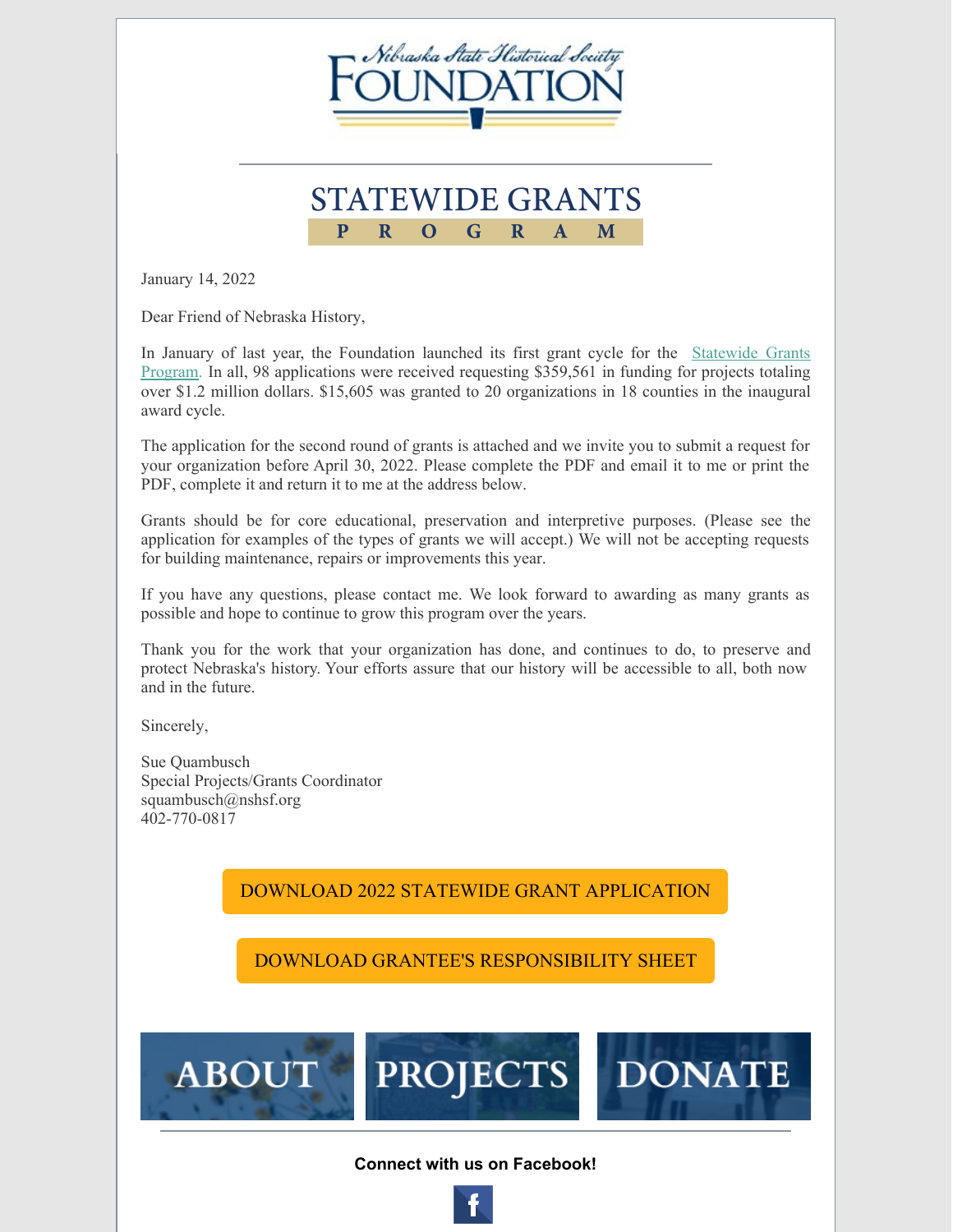

## **STATEWIDE GRANTS**  $\overline{\mathbf{p}}$  $\overline{\mathbf{R}}$ G  $\overline{\mathbf{R}}$ M  $\Omega$  $\mathbf{A}$

January 14, 2022

Dear Friend of Nebraska History,

In January of last year, the Foundation launched its first grant cycle for the Statewide Grants Program. In all, 98 [applications](https://www.nshsf.org/statewide-grants-program/) were received requesting \$359,561 in funding for projects totaling over \$1.2 million dollars. \$15,605 was granted to 20 organizations in 18 counties in the inaugural award cycle.

The application for the second round of grants is attached and we invite you to submit a request for your organization before April 30, 2022. Please complete the PDF and email it to me or print the PDF, complete it and return it to me at the address below.

Grants should be for core educational, preservation and interpretive purposes. (Please see the application for examples of the types of grants we will accept.) We will not be accepting requests for building maintenance, repairs or improvements this year.

If you have any questions, please contact me. We look forward to awarding as many grants as possible and hope to continue to grow this program over the years.

Thank you for the work that your organization has done, and continues to do, to preserve and protect Nebraska's history. Your efforts assure that our history will be accessible to all, both now and in the future.

Sincerely,

Sue Quambusch Special Projects/Grants Coordinator squambusch@nshsf.org 402-770-0817

**ABOUT** 

## DOWNLOAD 2022 STATEWIDE GRANT [APPLICATION](https://files.constantcontact.com/4ab5b80d301/95cfe712-88a2-42b3-8f83-c6ee2acde11b.pdf)

DOWNLOAD GRANTEE'S [RESPONSIBILITY](https://files.constantcontact.com/4ab5b80d301/2d54bc32-3a9b-4466-96d4-b3d45d32acde.pdf) SHEET



**PROJECTS** 

**DONAT**